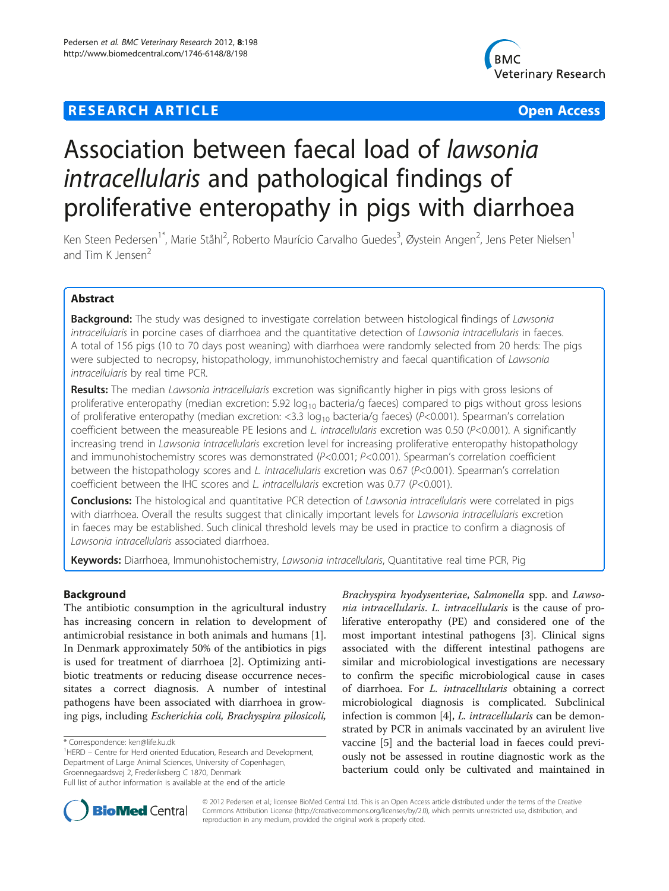# **RESEARCH ARTICLE Example 2014 12:30 THE Open Access**



# Association between faecal load of lawsonia intracellularis and pathological findings of proliferative enteropathy in pigs with diarrhoea

Ken Steen Pedersen<sup>1\*</sup>, Marie Ståhl<sup>2</sup>, Roberto Maurício Carvalho Guedes<sup>3</sup>, Øystein Angen<sup>2</sup>, Jens Peter Nielsen<sup>1</sup> and Tim K  $I$ ensen $2$ 

# Abstract

Background: The study was designed to investigate correlation between histological findings of Lawsonia intracellularis in porcine cases of diarrhoea and the quantitative detection of Lawsonia intracellularis in faeces. A total of 156 pigs (10 to 70 days post weaning) with diarrhoea were randomly selected from 20 herds: The pigs were subjected to necropsy, histopathology, immunohistochemistry and faecal quantification of Lawsonia intracellularis by real time PCR.

Results: The median Lawsonia intracellularis excretion was significantly higher in pigs with gross lesions of proliferative enteropathy (median excretion: 5.92  $log_{10}$  bacteria/g faeces) compared to pigs without gross lesions of proliferative enteropathy (median excretion: <3.3  $log_{10}$  bacteria/g faeces) (P<0.001). Spearman's correlation coefficient between the measureable PE lesions and L. intracellularis excretion was 0.50 ( $P<0.001$ ). A significantly increasing trend in Lawsonia intracellularis excretion level for increasing proliferative enteropathy histopathology and immunohistochemistry scores was demonstrated (P<0.001; P<0.001). Spearman's correlation coefficient between the histopathology scores and L. intracellularis excretion was 0.67 (P<0.001). Spearman's correlation coefficient between the IHC scores and L. intracellularis excretion was 0.77 (P<0.001).

**Conclusions:** The histological and quantitative PCR detection of *Lawsonia intracellularis* were correlated in pigs with diarrhoea. Overall the results suggest that clinically important levels for Lawsonia intracellularis excretion in faeces may be established. Such clinical threshold levels may be used in practice to confirm a diagnosis of Lawsonia intracellularis associated diarrhoea.

Keywords: Diarrhoea, Immunohistochemistry, Lawsonia intracellularis, Quantitative real time PCR, Pig

# Background

The antibiotic consumption in the agricultural industry has increasing concern in relation to development of antimicrobial resistance in both animals and humans [\[1](#page-5-0)]. In Denmark approximately 50% of the antibiotics in pigs is used for treatment of diarrhoea [[2\]](#page-5-0). Optimizing antibiotic treatments or reducing disease occurrence necessitates a correct diagnosis. A number of intestinal pathogens have been associated with diarrhoea in growing pigs, including Escherichia coli, Brachyspira pilosicoli,

<sup>1</sup>HERD – Centre for Herd oriented Education, Research and Development, Department of Large Animal Sciences, University of Copenhagen, Groennegaardsvej 2, Frederiksberg C 1870, Denmark

Brachyspira hyodysenteriae, Salmonella spp. and Lawsonia intracellularis. L. intracellularis is the cause of proliferative enteropathy (PE) and considered one of the most important intestinal pathogens [\[3](#page-5-0)]. Clinical signs associated with the different intestinal pathogens are similar and microbiological investigations are necessary to confirm the specific microbiological cause in cases of diarrhoea. For L. intracellularis obtaining a correct microbiological diagnosis is complicated. Subclinical infection is common [[4\]](#page-5-0), *L. intracellularis* can be demonstrated by PCR in animals vaccinated by an avirulent live vaccine [[5\]](#page-5-0) and the bacterial load in faeces could previously not be assessed in routine diagnostic work as the bacterium could only be cultivated and maintained in



© 2012 Pedersen et al.; licensee BioMed Central Ltd. This is an Open Access article distributed under the terms of the Creative Commons Attribution License [\(http://creativecommons.org/licenses/by/2.0\)](http://creativecommons.org/licenses/by/2.0), which permits unrestricted use, distribution, and reproduction in any medium, provided the original work is properly cited.

<sup>\*</sup> Correspondence: [ken@life.ku.dk](mailto:ken@life.ku.dk) <sup>1</sup>

Full list of author information is available at the end of the article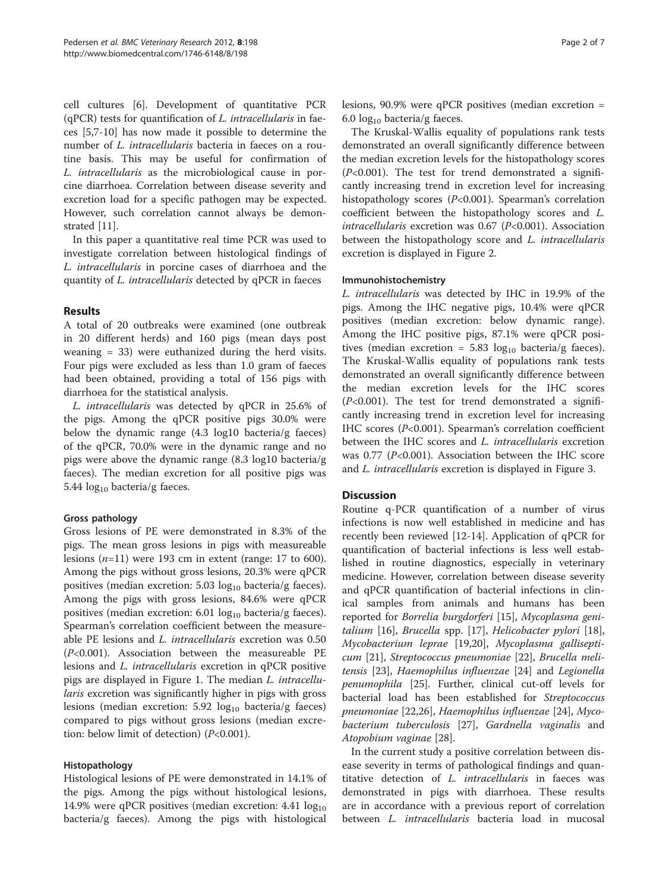cell cultures [\[6](#page-5-0)]. Development of quantitative PCR  $(qPCR)$  tests for quantification of L. intracellularis in faeces [\[5,7](#page-5-0)-[10\]](#page-5-0) has now made it possible to determine the number of L. intracellularis bacteria in faeces on a routine basis. This may be useful for confirmation of L. intracellularis as the microbiological cause in porcine diarrhoea. Correlation between disease severity and excretion load for a specific pathogen may be expected. However, such correlation cannot always be demonstrated [\[11](#page-5-0)].

In this paper a quantitative real time PCR was used to investigate correlation between histological findings of L. intracellularis in porcine cases of diarrhoea and the quantity of L. intracellularis detected by qPCR in faeces

#### Results

A total of 20 outbreaks were examined (one outbreak in 20 different herds) and 160 pigs (mean days post weaning = 33) were euthanized during the herd visits. Four pigs were excluded as less than 1.0 gram of faeces had been obtained, providing a total of 156 pigs with diarrhoea for the statistical analysis.

L. intracellularis was detected by qPCR in 25.6% of the pigs. Among the qPCR positive pigs 30.0% were below the dynamic range (4.3 log10 bacteria/g faeces) of the qPCR, 70.0% were in the dynamic range and no pigs were above the dynamic range (8.3 log10 bacteria/g faeces). The median excretion for all positive pigs was 5.44  $log_{10}$  bacteria/g faeces.

# Gross pathology

Gross lesions of PE were demonstrated in 8.3% of the pigs. The mean gross lesions in pigs with measureable lesions  $(n=11)$  were 193 cm in extent (range: 17 to 600). Among the pigs without gross lesions, 20.3% were qPCR positives (median excretion:  $5.03 \log_{10}$  bacteria/g faeces). Among the pigs with gross lesions, 84.6% were qPCR positives (median excretion:  $6.01 \log_{10}$  bacteria/g faeces). Spearman's correlation coefficient between the measureable PE lesions and L. intracellularis excretion was 0.50 (P<0.001). Association between the measureable PE lesions and L. intracellularis excretion in qPCR positive pigs are displayed in Figure [1.](#page-2-0) The median L. intracellularis excretion was significantly higher in pigs with gross lesions (median excretion:  $5.92 \log_{10}$  bacteria/g faeces) compared to pigs without gross lesions (median excretion: below limit of detection) (P<0.001).

#### Histopathology

Histological lesions of PE were demonstrated in 14.1% of the pigs. Among the pigs without histological lesions, 14.9% were qPCR positives (median excretion:  $4.41 \log_{10}$ bacteria/g faeces). Among the pigs with histological

lesions, 90.9% were qPCR positives (median excretion = 6.0  $log_{10}$  bacteria/g faeces.

The Kruskal-Wallis equality of populations rank tests demonstrated an overall significantly difference between the median excretion levels for the histopathology scores  $(P<0.001)$ . The test for trend demonstrated a significantly increasing trend in excretion level for increasing histopathology scores (P<0.001). Spearman's correlation coefficient between the histopathology scores and L. intracellularis excretion was 0.67 ( $P<0.001$ ). Association between the histopathology score and L. intracellularis excretion is displayed in Figure [2.](#page-2-0)

#### Immunohistochemistry

L. intracellularis was detected by IHC in 19.9% of the pigs. Among the IHC negative pigs, 10.4% were qPCR positives (median excretion: below dynamic range). Among the IHC positive pigs, 87.1% were qPCR positives (median excretion =  $5.83 \log_{10}$  bacteria/g faeces). The Kruskal-Wallis equality of populations rank tests demonstrated an overall significantly difference between the median excretion levels for the IHC scores  $(P<0.001)$ . The test for trend demonstrated a significantly increasing trend in excretion level for increasing IHC scores (P<0.001). Spearman's correlation coefficient between the IHC scores and *L. intracellularis* excretion was 0.77 ( $P<0.001$ ). Association between the IHC score and L. intracellularis excretion is displayed in Figure [3](#page-3-0).

# **Discussion**

Routine q-PCR quantification of a number of virus infections is now well established in medicine and has recently been reviewed [[12-14](#page-5-0)]. Application of qPCR for quantification of bacterial infections is less well established in routine diagnostics, especially in veterinary medicine. However, correlation between disease severity and qPCR quantification of bacterial infections in clinical samples from animals and humans has been reported for Borrelia burgdorferi [[15](#page-5-0)], Mycoplasma genitalium [\[16\]](#page-5-0), Brucella spp. [[17](#page-5-0)], Helicobacter pylori [\[18](#page-5-0)], Mycobacterium leprae [\[19,20\]](#page-5-0), Mycoplasma gallisepticum [[21\]](#page-5-0), Streptococcus pneumoniae [[22](#page-5-0)], Brucella melitensis [\[23](#page-5-0)], Haemophilus influenzae [[24\]](#page-5-0) and Legionella penumophila [\[25\]](#page-5-0). Further, clinical cut-off levels for bacterial load has been established for Streptococcus pneumoniae [[22,](#page-5-0)[26\]](#page-6-0), Haemophilus influenzae [[24](#page-5-0)], Mycobacterium tuberculosis [[27](#page-6-0)], Gardnella vaginalis and Atopobium vaginae [\[28](#page-6-0)].

In the current study a positive correlation between disease severity in terms of pathological findings and quantitative detection of L. intracellularis in faeces was demonstrated in pigs with diarrhoea. These results are in accordance with a previous report of correlation between L. intracellularis bacteria load in mucosal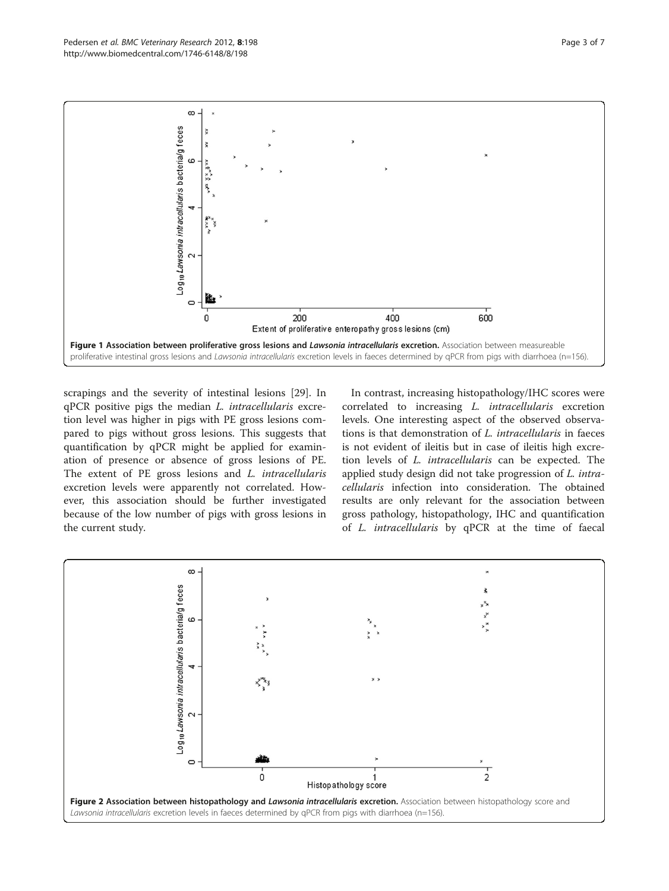<span id="page-2-0"></span>

scrapings and the severity of intestinal lesions [\[29\]](#page-6-0). In qPCR positive pigs the median L. intracellularis excretion level was higher in pigs with PE gross lesions compared to pigs without gross lesions. This suggests that quantification by qPCR might be applied for examination of presence or absence of gross lesions of PE. The extent of PE gross lesions and L. intracellularis excretion levels were apparently not correlated. However, this association should be further investigated because of the low number of pigs with gross lesions in the current study.

In contrast, increasing histopathology/IHC scores were correlated to increasing L. intracellularis excretion levels. One interesting aspect of the observed observations is that demonstration of L. intracellularis in faeces is not evident of ileitis but in case of ileitis high excretion levels of L. intracellularis can be expected. The applied study design did not take progression of L. intracellularis infection into consideration. The obtained results are only relevant for the association between gross pathology, histopathology, IHC and quantification of L. intracellularis by qPCR at the time of faecal

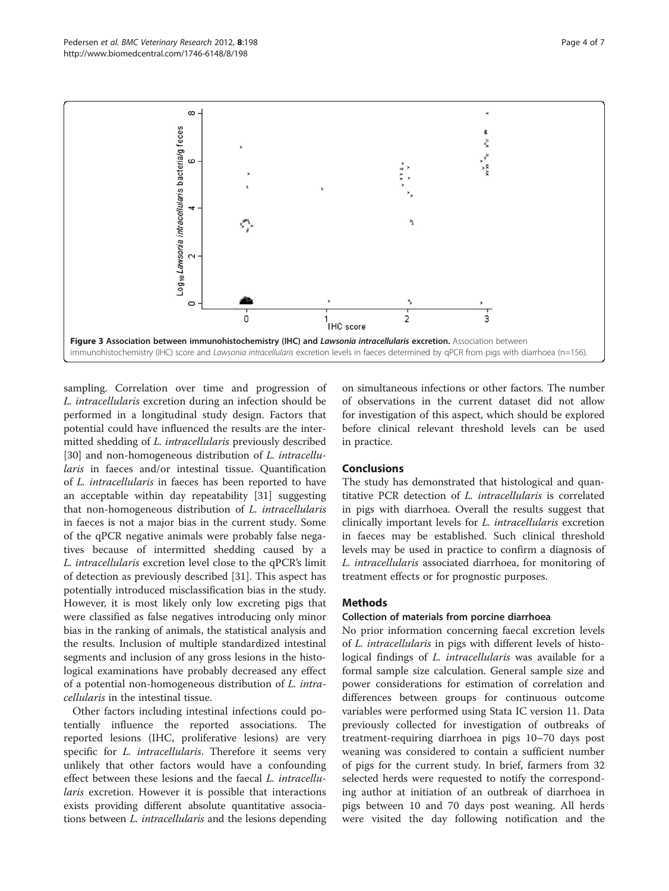<span id="page-3-0"></span>

sampling. Correlation over time and progression of L. intracellularis excretion during an infection should be performed in a longitudinal study design. Factors that potential could have influenced the results are the intermitted shedding of L. intracellularis previously described [[30\]](#page-6-0) and non-homogeneous distribution of *L. intracellu*laris in faeces and/or intestinal tissue. Quantification of L. intracellularis in faeces has been reported to have an acceptable within day repeatability [\[31](#page-6-0)] suggesting that non-homogeneous distribution of L. intracellularis in faeces is not a major bias in the current study. Some of the qPCR negative animals were probably false negatives because of intermitted shedding caused by a L. intracellularis excretion level close to the qPCR's limit of detection as previously described [\[31](#page-6-0)]. This aspect has potentially introduced misclassification bias in the study. However, it is most likely only low excreting pigs that were classified as false negatives introducing only minor bias in the ranking of animals, the statistical analysis and the results. Inclusion of multiple standardized intestinal segments and inclusion of any gross lesions in the histological examinations have probably decreased any effect of a potential non-homogeneous distribution of L. intracellularis in the intestinal tissue.

Other factors including intestinal infections could potentially influence the reported associations. The reported lesions (IHC, proliferative lesions) are very specific for *L. intracellularis*. Therefore it seems very unlikely that other factors would have a confounding effect between these lesions and the faecal L. intracellularis excretion. However it is possible that interactions exists providing different absolute quantitative associations between L. intracellularis and the lesions depending

on simultaneous infections or other factors. The number of observations in the current dataset did not allow for investigation of this aspect, which should be explored before clinical relevant threshold levels can be used in practice.

# Conclusions

The study has demonstrated that histological and quantitative PCR detection of L. intracellularis is correlated in pigs with diarrhoea. Overall the results suggest that clinically important levels for L. intracellularis excretion in faeces may be established. Such clinical threshold levels may be used in practice to confirm a diagnosis of L. intracellularis associated diarrhoea, for monitoring of treatment effects or for prognostic purposes.

# **Methods**

#### Collection of materials from porcine diarrhoea

No prior information concerning faecal excretion levels of L. intracellularis in pigs with different levels of histological findings of *L. intracellularis* was available for a formal sample size calculation. General sample size and power considerations for estimation of correlation and differences between groups for continuous outcome variables were performed using Stata IC version 11. Data previously collected for investigation of outbreaks of treatment-requiring diarrhoea in pigs 10–70 days post weaning was considered to contain a sufficient number of pigs for the current study. In brief, farmers from 32 selected herds were requested to notify the corresponding author at initiation of an outbreak of diarrhoea in pigs between 10 and 70 days post weaning. All herds were visited the day following notification and the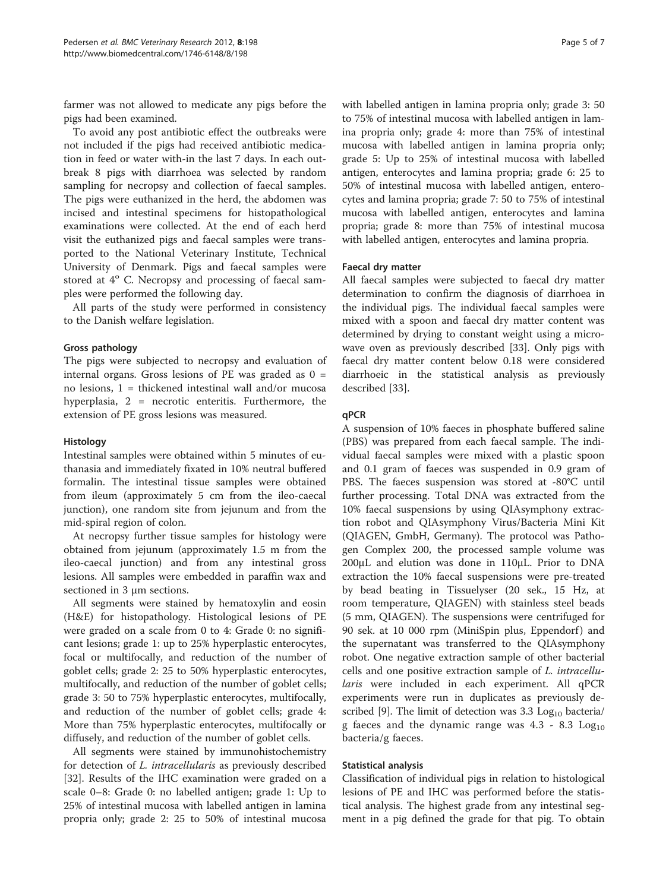farmer was not allowed to medicate any pigs before the pigs had been examined.

To avoid any post antibiotic effect the outbreaks were not included if the pigs had received antibiotic medication in feed or water with-in the last 7 days. In each outbreak 8 pigs with diarrhoea was selected by random sampling for necropsy and collection of faecal samples. The pigs were euthanized in the herd, the abdomen was incised and intestinal specimens for histopathological examinations were collected. At the end of each herd visit the euthanized pigs and faecal samples were transported to the National Veterinary Institute, Technical University of Denmark. Pigs and faecal samples were stored at  $4^{\circ}$  C. Necropsy and processing of faecal samples were performed the following day.

All parts of the study were performed in consistency to the Danish welfare legislation.

### Gross pathology

The pigs were subjected to necropsy and evaluation of internal organs. Gross lesions of PE was graded as  $0 =$ no lesions, 1 = thickened intestinal wall and/or mucosa hyperplasia, 2 = necrotic enteritis. Furthermore, the extension of PE gross lesions was measured.

#### Histology

Intestinal samples were obtained within 5 minutes of euthanasia and immediately fixated in 10% neutral buffered formalin. The intestinal tissue samples were obtained from ileum (approximately 5 cm from the ileo-caecal junction), one random site from jejunum and from the mid-spiral region of colon.

At necropsy further tissue samples for histology were obtained from jejunum (approximately 1.5 m from the ileo-caecal junction) and from any intestinal gross lesions. All samples were embedded in paraffin wax and sectioned in 3 μm sections.

All segments were stained by hematoxylin and eosin (H&E) for histopathology. Histological lesions of PE were graded on a scale from 0 to 4: Grade 0: no significant lesions; grade 1: up to 25% hyperplastic enterocytes, focal or multifocally, and reduction of the number of goblet cells; grade 2: 25 to 50% hyperplastic enterocytes, multifocally, and reduction of the number of goblet cells; grade 3: 50 to 75% hyperplastic enterocytes, multifocally, and reduction of the number of goblet cells; grade 4: More than 75% hyperplastic enterocytes, multifocally or diffusely, and reduction of the number of goblet cells.

All segments were stained by immunohistochemistry for detection of L. intracellularis as previously described [[32\]](#page-6-0). Results of the IHC examination were graded on a scale 0–8: Grade 0: no labelled antigen; grade 1: Up to 25% of intestinal mucosa with labelled antigen in lamina propria only; grade 2: 25 to 50% of intestinal mucosa

with labelled antigen in lamina propria only; grade 3: 50 to 75% of intestinal mucosa with labelled antigen in lamina propria only; grade 4: more than 75% of intestinal mucosa with labelled antigen in lamina propria only; grade 5: Up to 25% of intestinal mucosa with labelled antigen, enterocytes and lamina propria; grade 6: 25 to 50% of intestinal mucosa with labelled antigen, enterocytes and lamina propria; grade 7: 50 to 75% of intestinal mucosa with labelled antigen, enterocytes and lamina propria; grade 8: more than 75% of intestinal mucosa with labelled antigen, enterocytes and lamina propria.

#### Faecal dry matter

All faecal samples were subjected to faecal dry matter determination to confirm the diagnosis of diarrhoea in the individual pigs. The individual faecal samples were mixed with a spoon and faecal dry matter content was determined by drying to constant weight using a microwave oven as previously described [[33\]](#page-6-0). Only pigs with faecal dry matter content below 0.18 were considered diarrhoeic in the statistical analysis as previously described [[33](#page-6-0)].

#### qPCR

A suspension of 10% faeces in phosphate buffered saline (PBS) was prepared from each faecal sample. The individual faecal samples were mixed with a plastic spoon and 0.1 gram of faeces was suspended in 0.9 gram of PBS. The faeces suspension was stored at -80°C until further processing. Total DNA was extracted from the 10% faecal suspensions by using QIAsymphony extraction robot and QIAsymphony Virus/Bacteria Mini Kit (QIAGEN, GmbH, Germany). The protocol was Pathogen Complex 200, the processed sample volume was 200μL and elution was done in 110μL. Prior to DNA extraction the 10% faecal suspensions were pre-treated by bead beating in Tissuelyser (20 sek., 15 Hz, at room temperature, QIAGEN) with stainless steel beads (5 mm, QIAGEN). The suspensions were centrifuged for 90 sek. at 10 000 rpm (MiniSpin plus, Eppendorf) and the supernatant was transferred to the QIAsymphony robot. One negative extraction sample of other bacterial cells and one positive extraction sample of L. intracellularis were included in each experiment. All qPCR experiments were run in duplicates as previously de-scribed [[9](#page-5-0)]. The limit of detection was 3.3  $Log_{10}$  bacteria/ g faeces and the dynamic range was  $4.3$  -  $8.3$   $Log<sub>10</sub>$ bacteria/g faeces.

#### Statistical analysis

Classification of individual pigs in relation to histological lesions of PE and IHC was performed before the statistical analysis. The highest grade from any intestinal segment in a pig defined the grade for that pig. To obtain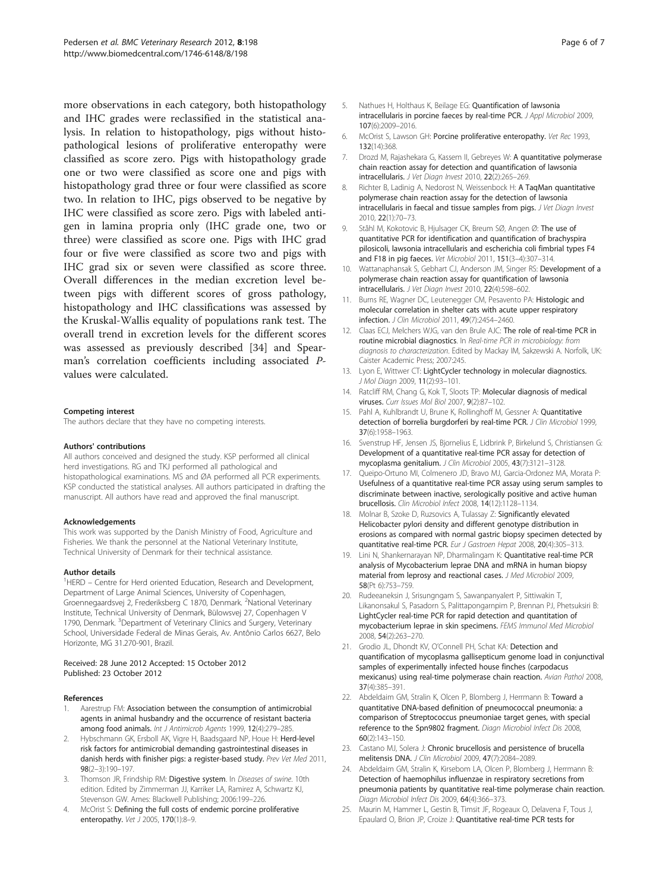<span id="page-5-0"></span>more observations in each category, both histopathology and IHC grades were reclassified in the statistical analysis. In relation to histopathology, pigs without histopathological lesions of proliferative enteropathy were classified as score zero. Pigs with histopathology grade one or two were classified as score one and pigs with histopathology grad three or four were classified as score two. In relation to IHC, pigs observed to be negative by IHC were classified as score zero. Pigs with labeled antigen in lamina propria only (IHC grade one, two or three) were classified as score one. Pigs with IHC grad four or five were classified as score two and pigs with IHC grad six or seven were classified as score three. Overall differences in the median excretion level between pigs with different scores of gross pathology, histopathology and IHC classifications was assessed by the Kruskal-Wallis equality of populations rank test. The overall trend in excretion levels for the different scores was assessed as previously described [\[34](#page-6-0)] and Spearman's correlation coefficients including associated Pvalues were calculated.

#### Competing interest

The authors declare that they have no competing interests.

#### Authors' contributions

All authors conceived and designed the study. KSP performed all clinical herd investigations. RG and TKJ performed all pathological and histopathological examinations. MS and ØA performed all PCR experiments. KSP conducted the statistical analyses. All authors participated in drafting the manuscript. All authors have read and approved the final manuscript.

#### Acknowledgements

This work was supported by the Danish Ministry of Food, Agriculture and Fisheries. We thank the personnel at the National Veterinary Institute, Technical University of Denmark for their technical assistance.

#### Author details

<sup>1</sup>HERD - Centre for Herd oriented Education, Research and Development, Department of Large Animal Sciences, University of Copenhagen, Groennegaardsvej 2, Frederiksberg C 1870, Denmark. <sup>2</sup>National Veterinary Institute, Technical University of Denmark, Bülowsvej 27, Copenhagen V 1790, Denmark. <sup>3</sup>Department of Veterinary Clinics and Surgery, Veterinary School, Universidade Federal de Minas Gerais, Av. Antônio Carlos 6627, Belo Horizonte, MG 31.270-901, Brazil.

#### Received: 28 June 2012 Accepted: 15 October 2012 Published: 23 October 2012

#### References

- Aarestrup FM: Association between the consumption of antimicrobial agents in animal husbandry and the occurrence of resistant bacteria among food animals. Int J Antimicrob Agents 1999, 12(4):279–285.
- 2. Hybschmann GK, Ersboll AK, Vigre H, Baadsgaard NP, Houe H: Herd-level risk factors for antimicrobial demanding gastrointestinal diseases in danish herds with finisher pigs: a register-based study. Prev Vet Med 2011, 98(2–3):190–197.
- 3. Thomson JR, Frindship RM: Digestive system. In Diseases of swine. 10th edition. Edited by Zimmerman JJ, Karriker LA, Ramirez A, Schwartz KJ, Stevenson GW. Ames: Blackwell Publishing; 2006:199–226.
- 4. McOrist S: Defining the full costs of endemic porcine proliferative enteropathy. Vet J 2005, 170(1):8-9.
- 5. Nathues H, Holthaus K, Beilage EG: Quantification of lawsonia intracellularis in porcine faeces by real-time PCR. J Appl Microbiol 2009, 107(6):2009–2016.
- 6. McOrist S, Lawson GH: Porcine proliferative enteropathy. Vet Rec 1993, 132(14):368.
- 7. Drozd M, Rajashekara G, Kassem II, Gebreyes W: A quantitative polymerase chain reaction assay for detection and quantification of lawsonia intracellularis. J Vet Diagn Invest 2010, 22(2):265–269.
- 8. Richter B, Ladinig A, Nedorost N, Weissenbock H: A TagMan quantitative polymerase chain reaction assay for the detection of lawsonia intracellularis in faecal and tissue samples from pigs. J Vet Diagn Invest 2010, 22(1):70–73.
- 9. Ståhl M, Kokotovic B, Hjulsager CK, Breum SØ, Angen Ø: The use of quantitative PCR for identification and quantification of brachyspira pilosicoli, lawsonia intracellularis and escherichia coli fimbrial types F4 and F18 in pig faeces. Vet Microbiol 2011, 151(3–4):307–314.
- 10. Wattanaphansak S, Gebhart CJ, Anderson JM, Singer RS: Development of a polymerase chain reaction assay for quantification of lawsonia intracellularis. J Vet Diagn Invest 2010, 22(4):598–602.
- 11. Burns RE, Wagner DC, Leutenegger CM, Pesavento PA: Histologic and molecular correlation in shelter cats with acute upper respiratory infection. J Clin Microbiol 2011, 49(7):2454–2460.
- 12. Claas ECJ, Melchers WJG, van den Brule AJC: The role of real-time PCR in routine microbial diagnostics. In Real-time PCR in microbiology: from diagnosis to characterization. Edited by Mackay IM, Sakzewski A. Norfolk, UK: Caister Academic Press; 2007:245.
- 13. Lyon E, Wittwer CT: LightCycler technology in molecular diagnostics. J Mol Diagn 2009, 11(2):93–101.
- 14. Ratcliff RM, Chang G, Kok T, Sloots TP: Molecular diagnosis of medical viruses. Curr Issues Mol Biol 2007, 9(2):87–102.
- 15. Pahl A, Kuhlbrandt U, Brune K, Rollinghoff M, Gessner A: Quantitative detection of borrelia burgdorferi by real-time PCR. J Clin Microbiol 1999, 37(6):1958–1963.
- 16. Svenstrup HF, Jensen JS, Bjornelius E, Lidbrink P, Birkelund S, Christiansen G: Development of a quantitative real-time PCR assay for detection of mycoplasma genitalium. J Clin Microbiol 2005, 43(7):3121–3128.
- 17. Queipo-Ortuno MI, Colmenero JD, Bravo MJ, Garcia-Ordonez MA, Morata P: Usefulness of a quantitative real-time PCR assay using serum samples to discriminate between inactive, serologically positive and active human brucellosis. Clin Microbiol Infect 2008, 14(12):1128–1134.
- 18. Molnar B, Szoke D, Ruzsovics A, Tulassay Z: Significantly elevated Helicobacter pylori density and different genotype distribution in erosions as compared with normal gastric biopsy specimen detected by quantitative real-time PCR. Eur J Gastroen Hepat 2008, 20(4):305–313.
- 19. Lini N, Shankernarayan NP, Dharmalingam K: Quantitative real-time PCR analysis of Mycobacterium leprae DNA and mRNA in human biopsy material from leprosy and reactional cases. J Med Microbiol 2009, 58(Pt 6):753–759.
- 20. Rudeeaneksin J, Srisungngam S, Sawanpanyalert P, Sittiwakin T, Likanonsakul S, Pasadorn S, Palittapongarnpim P, Brennan PJ, Phetsuksiri B: LightCycler real-time PCR for rapid detection and quantitation of mycobacterium leprae in skin specimens. FEMS Immunol Med Microbiol 2008, 54(2):263–270.
- 21. Grodio JL, Dhondt KV, O'Connell PH, Schat KA: Detection and quantification of mycoplasma gallisepticum genome load in conjunctival samples of experimentally infected house finches (carpodacus mexicanus) using real-time polymerase chain reaction. Avian Pathol 2008, 37(4):385–391.
- 22. Abdeldaim GM, Stralin K, Olcen P, Blomberg J, Herrmann B: Toward a quantitative DNA-based definition of pneumococcal pneumonia: a comparison of Streptococcus pneumoniae target genes, with special reference to the Spn9802 fragment. Diagn Microbiol Infect Dis 2008, 60(2):143–150.
- 23. Castano MJ, Solera J: Chronic brucellosis and persistence of brucella melitensis DNA. J Clin Microbiol 2009, 47(7):2084–2089.
- 24. Abdeldaim GM, Stralin K, Kirsebom LA, Olcen P, Blomberg J, Herrmann B: Detection of haemophilus influenzae in respiratory secretions from pneumonia patients by quantitative real-time polymerase chain reaction. Diagn Microbiol Infect Dis 2009, 64(4):366–373.
- 25. Maurin M, Hammer L, Gestin B, Timsit JF, Rogeaux O, Delavena F, Tous J, Epaulard O, Brion JP, Croize J: Quantitative real-time PCR tests for